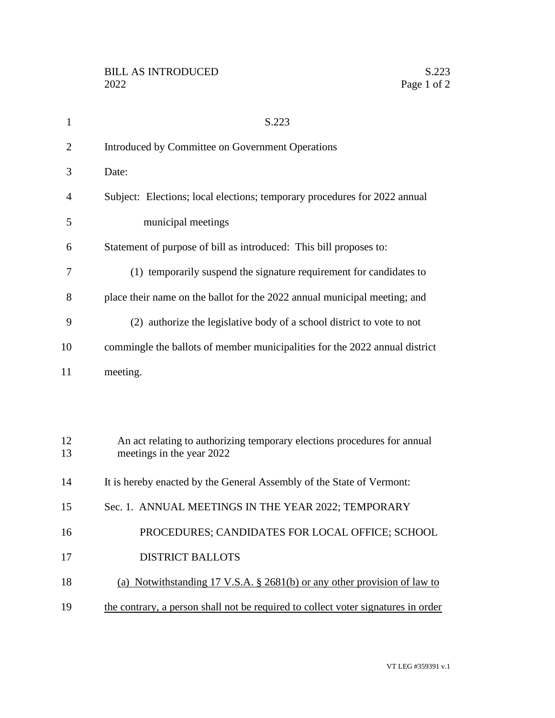| $\mathbf{1}$   | S.223                                                                                                 |  |  |  |  |  |
|----------------|-------------------------------------------------------------------------------------------------------|--|--|--|--|--|
| $\overline{2}$ | Introduced by Committee on Government Operations                                                      |  |  |  |  |  |
| 3              | Date:                                                                                                 |  |  |  |  |  |
| $\overline{4}$ | Subject: Elections; local elections; temporary procedures for 2022 annual                             |  |  |  |  |  |
| 5              | municipal meetings                                                                                    |  |  |  |  |  |
| 6              | Statement of purpose of bill as introduced: This bill proposes to:                                    |  |  |  |  |  |
| 7              | (1) temporarily suspend the signature requirement for candidates to                                   |  |  |  |  |  |
| 8              | place their name on the ballot for the 2022 annual municipal meeting; and                             |  |  |  |  |  |
| 9              | (2) authorize the legislative body of a school district to vote to not                                |  |  |  |  |  |
| 10             | commingle the ballots of member municipalities for the 2022 annual district                           |  |  |  |  |  |
| 11             | meeting.                                                                                              |  |  |  |  |  |
|                |                                                                                                       |  |  |  |  |  |
|                |                                                                                                       |  |  |  |  |  |
| 12<br>13       | An act relating to authorizing temporary elections procedures for annual<br>meetings in the year 2022 |  |  |  |  |  |
| 14             | It is hereby enacted by the General Assembly of the State of Vermont:                                 |  |  |  |  |  |
| 15             | Sec. 1. ANNUAL MEETINGS IN THE YEAR 2022; TEMPORARY                                                   |  |  |  |  |  |
| 16             | PROCEDURES; CANDIDATES FOR LOCAL OFFICE; SCHOOL                                                       |  |  |  |  |  |
| 17             | <b>DISTRICT BALLOTS</b>                                                                               |  |  |  |  |  |
| 18             | (a) Notwithstanding 17 V.S.A. § 2681(b) or any other provision of law to                              |  |  |  |  |  |
| 19             | the contrary, a person shall not be required to collect voter signatures in order                     |  |  |  |  |  |